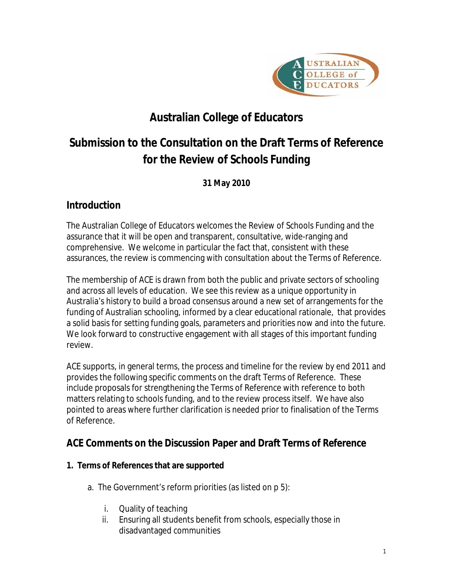

# **Australian College of Educators**

# **Submission to the Consultation on the Draft Terms of Reference for the Review of Schools Funding**

**31 May 2010**

## **Introduction**

The Australian College of Educators welcomes the Review of Schools Funding and the assurance that it will be open and transparent, consultative, wide-ranging and comprehensive. We welcome in particular the fact that, consistent with these assurances, the review is commencing with consultation about the Terms of Reference.

The membership of ACE is drawn from both the public and private sectors of schooling and across all levels of education. We see this review as a unique opportunity in Australia's history to build a broad consensus around a new set of arrangements for the funding of Australian schooling, informed by a clear educational rationale, that provides a solid basis for setting funding goals, parameters and priorities now and into the future. We look forward to constructive engagement with all stages of this important funding review.

ACE supports, in general terms, the process and timeline for the review by end 2011 and provides the following specific comments on the draft Terms of Reference. These include proposals for strengthening the Terms of Reference with reference to both matters relating to schools funding, and to the review process itself. We have also pointed to areas where further clarification is needed prior to finalisation of the Terms of Reference.

### **ACE Comments on the Discussion Paper and Draft Terms of Reference**

- **1. Terms of References that are supported**
	- a. The Government's reform priorities (as listed on p 5):
		- i. Quality of teaching
		- ii. Ensuring all students benefit from schools, especially those in disadvantaged communities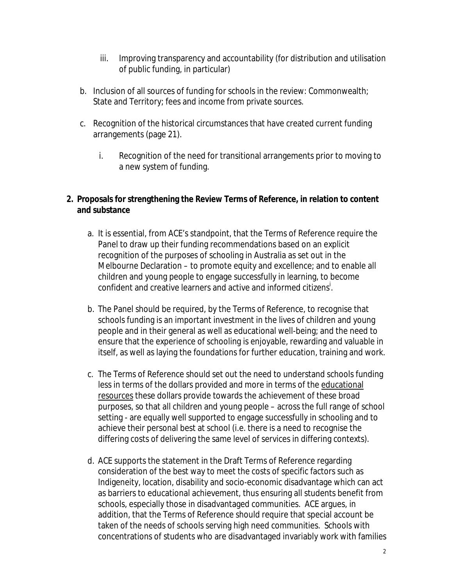- iii. Improving transparency and accountability (for distribution and utilisation of public funding, in particular)
- b. Inclusion of all sources of funding for schools in the review: Commonwealth; State and Territory; fees and income from private sources.
- c. Recognition of the historical circumstances that have created current funding arrangements (page 21).
	- i. Recognition of the need for transitional arrangements prior to moving to a new system of funding.
- **2. Proposals for strengthening the Review Terms of Reference, in relation to content and substance**
	- a. It is essential, from ACE's standpoint, that the Terms of Reference require the Panel to draw up their funding recommendations based on an explicit recognition of the purposes of schooling in Australia as set out in the Melbourne Declaration – to promote equity and excellence; and to enable all children and young people to engage successfully in learning, to become confident and creative learners and active and informed citizens<sup>i</sup>.
	- b. The Panel should be required, by the Terms of Reference, to recognise that schools funding is an important investment in the lives of children and young people and in their general as well as educational well-being; and the need to ensure that the experience of schooling is enjoyable, rewarding and valuable in itself, as well as laying the foundations for further education, training and work.
	- c. The Terms of Reference should set out the need to understand schools funding less in terms of the dollars provided and more in terms of the educational resources these dollars provide towards the achievement of these broad purposes, so that all children and young people – across the full range of school setting - are equally well supported to engage successfully in schooling and to achieve their personal best at school (i.e. there is a need to recognise the differing costs of delivering the same level of services in differing contexts).
	- d. ACE supports the statement in the Draft Terms of Reference regarding consideration of the best way to meet the costs of specific factors such as Indigeneity, location, disability and socio-economic disadvantage which can act as barriers to educational achievement, thus ensuring all students benefit from schools, especially those in disadvantaged communities. ACE argues, in addition, that the Terms of Reference should require that special account be taken of the needs of schools serving high need communities. Schools with concentrations of students who are disadvantaged invariably work with families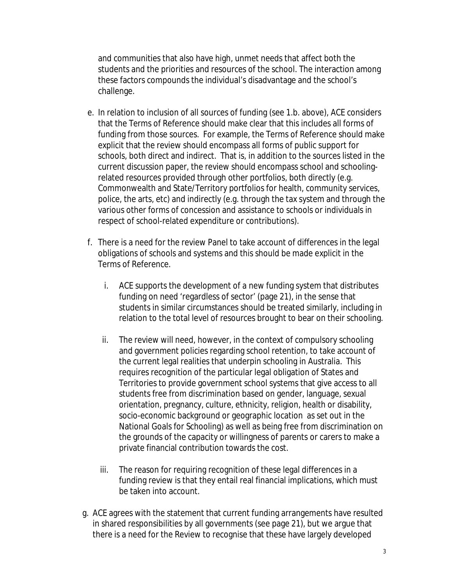and communities that also have high, unmet needs that affect both the students and the priorities and resources of the school. The interaction among these factors compounds the individual's disadvantage and the school's challenge.

- e. In relation to inclusion of all sources of funding (see 1.b. above), ACE considers that the Terms of Reference should make clear that this includes all forms of funding from those sources. For example, the Terms of Reference should make explicit that the review should encompass all forms of public support for schools, both direct and indirect. That is, in addition to the sources listed in the current discussion paper, the review should encompass school and schoolingrelated resources provided through other portfolios, both directly (e.g. Commonwealth and State/Territory portfolios for health, community services, police, the arts, etc) and indirectly (e.g. through the tax system and through the various other forms of concession and assistance to schools or individuals in respect of school-related expenditure or contributions).
- f. There is a need for the review Panel to take account of differences in the legal obligations of schools and systems and this should be made explicit in the Terms of Reference.
	- i. ACE supports the development of a new funding system that distributes funding on need 'regardless of sector' (page 21), in the sense that students in similar circumstances should be treated similarly, including in relation to the total level of resources brought to bear on their schooling.
	- ii. The review will need, however, in the context of compulsory schooling and government policies regarding school retention, to take account of the current legal realities that underpin schooling in Australia. This requires recognition of the particular legal obligation of States and Territories to provide government school systems that give access to all students free from discrimination based on gender, language, sexual orientation, pregnancy, culture, ethnicity, religion, health or disability, socio-economic background or geographic location as set out in the National Goals for Schooling) as well as being free from discrimination on the grounds of the capacity or willingness of parents or carers to make a private financial contribution towards the cost.
	- iii. The reason for requiring recognition of these legal differences in a funding review is that they entail real financial implications, which must be taken into account.
- g. ACE agrees with the statement that current funding arrangements have resulted in shared responsibilities by all governments (see page 21), but we argue that there is a need for the Review to recognise that these have largely developed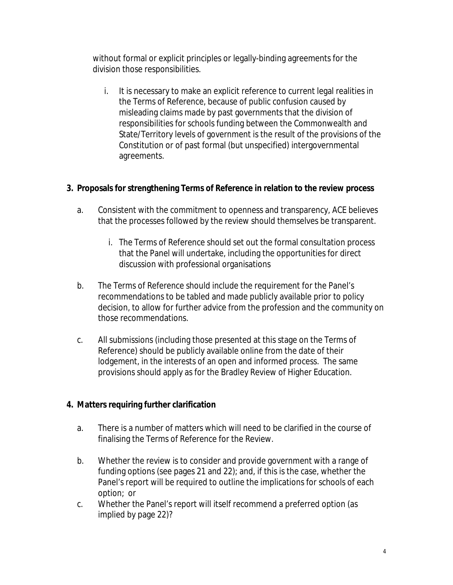without formal or explicit principles or legally-binding agreements for the division those responsibilities.

- i. It is necessary to make an explicit reference to current legal realities in the Terms of Reference, because of public confusion caused by misleading claims made by past governments that the division of responsibilities for schools funding between the Commonwealth and State/Territory levels of government is the result of the provisions of the Constitution or of past formal (but unspecified) intergovernmental agreements.
- **3. Proposals for strengthening Terms of Reference in relation to the review process**
	- a. Consistent with the commitment to openness and transparency, ACE believes that the processes followed by the review should themselves be transparent.
		- i. The Terms of Reference should set out the formal consultation process that the Panel will undertake, including the opportunities for direct discussion with professional organisations
	- b. The Terms of Reference should include the requirement for the Panel's recommendations to be tabled and made publicly available prior to policy decision, to allow for further advice from the profession and the community on those recommendations.
	- c. All submissions (including those presented at this stage on the Terms of Reference) should be publicly available online from the date of their lodgement, in the interests of an open and informed process. The same provisions should apply as for the Bradley Review of Higher Education.
- **4. Matters requiring further clarification**
	- a. There is a number of matters which will need to be clarified in the course of finalising the Terms of Reference for the Review.
	- b. Whether the review is to consider and provide government with a range of funding options (see pages 21 and 22); and, if this is the case, whether the Panel's report will be required to outline the implications for schools of each option; or
	- c. Whether the Panel's report will itself recommend a preferred option (as implied by page 22)?